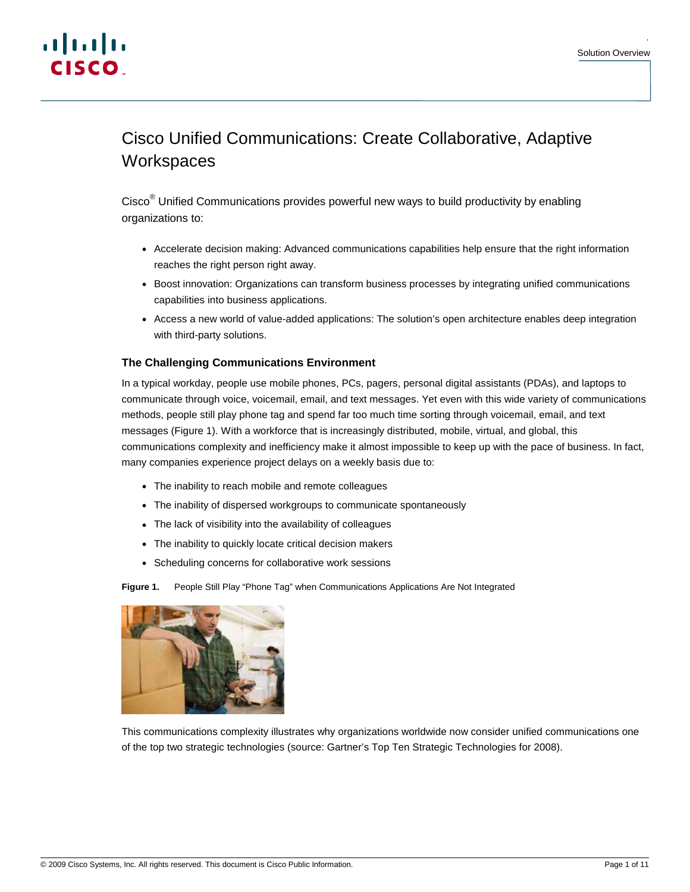.



# Cisco Unified Communications: Create Collaborative, Adaptive **Workspaces**

Cisco<sup>®</sup> Unified Communications provides powerful new ways to build productivity by enabling organizations to:

- Accelerate decision making: Advanced communications capabilities help ensure that the right information reaches the right person right away.
- Boost innovation: Organizations can transform business processes by integrating unified communications capabilities into business applications.
- Access a new world of value-added applications: The solution's open architecture enables deep integration with third-party solutions.

# **The Challenging Communications Environment**

In a typical workday, people use mobile phones, PCs, pagers, personal digital assistants (PDAs), and laptops to communicate through voice, voicemail, email, and text messages. Yet even with this wide variety of communications methods, people still play phone tag and spend far too much time sorting through voicemail, email, and text messages (Figure 1). With a workforce that is increasingly distributed, mobile, virtual, and global, this communications complexity and inefficiency make it almost impossible to keep up with the pace of business. In fact, many companies experience project delays on a weekly basis due to:

- The inability to reach mobile and remote colleagues
- The inability of dispersed workgroups to communicate spontaneously
- The lack of visibility into the availability of colleagues
- The inability to quickly locate critical decision makers
- Scheduling concerns for collaborative work sessions

**Figure 1.** People Still Play "Phone Tag" when Communications Applications Are Not Integrated



This communications complexity illustrates why organizations worldwide now consider unified communications one of the top two strategic technologies (source: Gartner's Top Ten Strategic Technologies for 2008).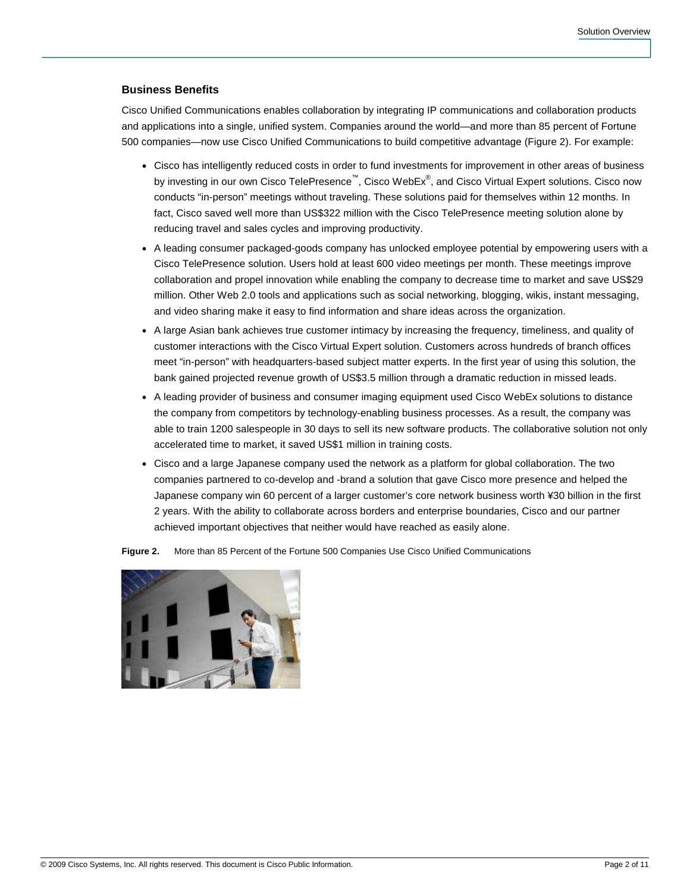## **Business Benefits**

Cisco Unified Communications enables collaboration by integrating IP communications and collaboration products and applications into a single, unified system. Companies around the world—and more than 85 percent of Fortune 500 companies—now use Cisco Unified Communications to build competitive advantage (Figure 2). For example:

- Cisco has intelligently reduced costs in order to fund investments for improvement in other areas of business by investing in our own Cisco TelePresence™, Cisco WebEx®, and Cisco Virtual Expert solutions. Cisco now conducts "in-person" meetings without traveling. These solutions paid for themselves within 12 months. In fact, Cisco saved well more than US\$322 million with the Cisco TelePresence meeting solution alone by reducing travel and sales cycles and improving productivity.
- A leading consumer packaged-goods company has unlocked employee potential by empowering users with a Cisco TelePresence solution. Users hold at least 600 video meetings per month. These meetings improve collaboration and propel innovation while enabling the company to decrease time to market and save US\$29 million. Other Web 2.0 tools and applications such as social networking, blogging, wikis, instant messaging, and video sharing make it easy to find information and share ideas across the organization.
- A large Asian bank achieves true customer intimacy by increasing the frequency, timeliness, and quality of customer interactions with the Cisco Virtual Expert solution. Customers across hundreds of branch offices meet "in-person" with headquarters-based subject matter experts. In the first year of using this solution, the bank gained projected revenue growth of US\$3.5 million through a dramatic reduction in missed leads.
- A leading provider of business and consumer imaging equipment used Cisco WebEx solutions to distance the company from competitors by technology-enabling business processes. As a result, the company was able to train 1200 salespeople in 30 days to sell its new software products. The collaborative solution not only accelerated time to market, it saved US\$1 million in training costs.
- Cisco and a large Japanese company used the network as a platform for global collaboration. The two companies partnered to co-develop and -brand a solution that gave Cisco more presence and helped the Japanese company win 60 percent of a larger customer's core network business worth ¥30 billion in the first 2 years. With the ability to collaborate across borders and enterprise boundaries, Cisco and our partner achieved important objectives that neither would have reached as easily alone.

**Figure 2.** More than 85 Percent of the Fortune 500 Companies Use Cisco Unified Communications

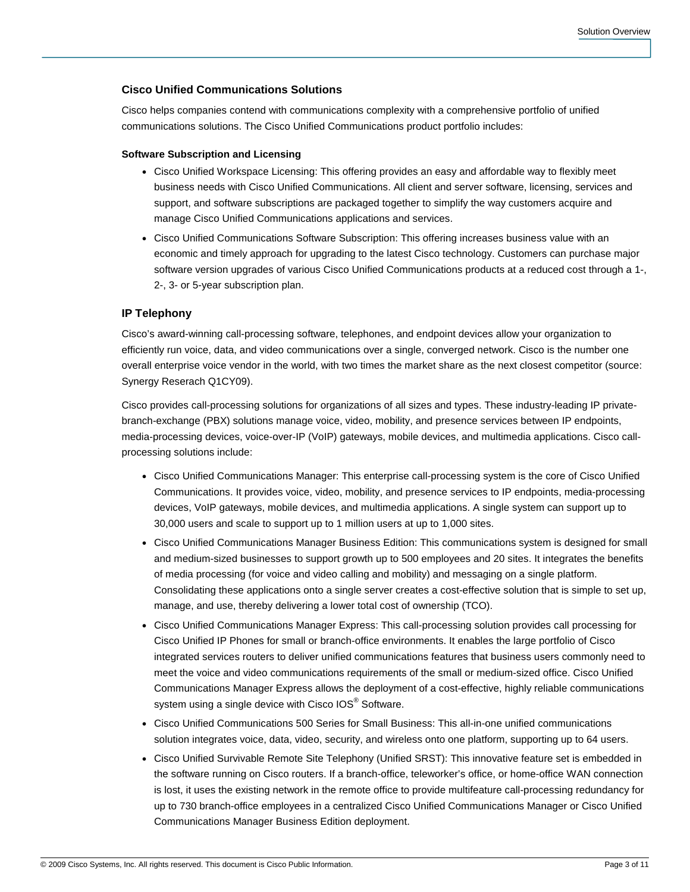# **Cisco Unified Communications Solutions**

Cisco helps companies contend with communications complexity with a comprehensive portfolio of unified communications solutions. The Cisco Unified Communications product portfolio includes:

## **Software Subscription and Licensing**

- Cisco Unified Workspace Licensing: This offering provides an easy and affordable way to flexibly meet business needs with Cisco Unified Communications. All client and server software, licensing, services and support, and software subscriptions are packaged together to simplify the way customers acquire and manage Cisco Unified Communications applications and services.
- Cisco Unified Communications Software Subscription: This offering increases business value with an economic and timely approach for upgrading to the latest Cisco technology. Customers can purchase major software version upgrades of various Cisco Unified Communications products at a reduced cost through a 1-, 2-, 3- or 5-year subscription plan.

## **IP Telephony**

Cisco's award-winning call-processing software, telephones, and endpoint devices allow your organization to efficiently run voice, data, and video communications over a single, converged network. Cisco is the number one overall enterprise voice vendor in the world, with two times the market share as the next closest competitor (source: Synergy Reserach Q1CY09).

Cisco provides call-processing solutions for organizations of all sizes and types. These industry-leading IP privatebranch-exchange (PBX) solutions manage voice, video, mobility, and presence services between IP endpoints, media-processing devices, voice-over-IP (VoIP) gateways, mobile devices, and multimedia applications. Cisco callprocessing solutions include:

- Cisco Unified Communications Manager: This enterprise call-processing system is the core of Cisco Unified Communications. It provides voice, video, mobility, and presence services to IP endpoints, media-processing devices, VoIP gateways, mobile devices, and multimedia applications. A single system can support up to 30,000 users and scale to support up to 1 million users at up to 1,000 sites.
- Cisco Unified Communications Manager Business Edition: This communications system is designed for small and medium-sized businesses to support growth up to 500 employees and 20 sites. It integrates the benefits of media processing (for voice and video calling and mobility) and messaging on a single platform. Consolidating these applications onto a single server creates a cost-effective solution that is simple to set up, manage, and use, thereby delivering a lower total cost of ownership (TCO).
- Cisco Unified Communications Manager Express: This call-processing solution provides call processing for Cisco Unified IP Phones for small or branch-office environments. It enables the large portfolio of Cisco integrated services routers to deliver unified communications features that business users commonly need to meet the voice and video communications requirements of the small or medium-sized office. Cisco Unified Communications Manager Express allows the deployment of a cost-effective, highly reliable communications system using a single device with Cisco IOS $^{\circledR}$  Software.
- Cisco Unified Communications 500 Series for Small Business: This all-in-one unified communications solution integrates voice, data, video, security, and wireless onto one platform, supporting up to 64 users.
- Cisco Unified Survivable Remote Site Telephony (Unified SRST): This innovative feature set is embedded in the software running on Cisco routers. If a branch-office, teleworker's office, or home-office WAN connection is lost, it uses the existing network in the remote office to provide multifeature call-processing redundancy for up to 730 branch-office employees in a centralized Cisco Unified Communications Manager or Cisco Unified Communications Manager Business Edition deployment.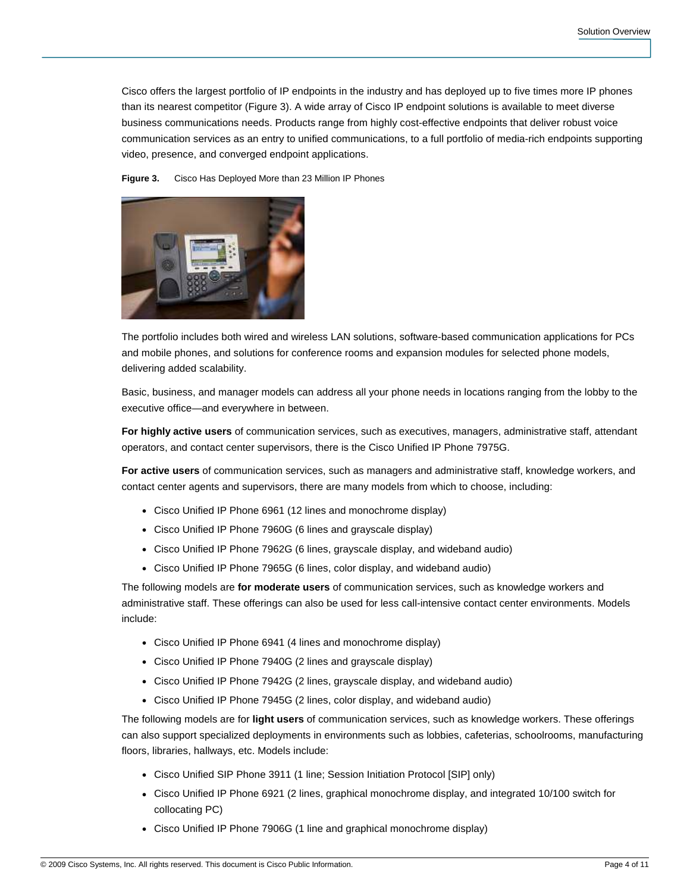Cisco offers the largest portfolio of IP endpoints in the industry and has deployed up to five times more IP phones than its nearest competitor (Figure 3). A wide array of Cisco IP endpoint solutions is available to meet diverse business communications needs. Products range from highly cost-effective endpoints that deliver robust voice communication services as an entry to unified communications, to a full portfolio of media-rich endpoints supporting video, presence, and converged endpoint applications.

**Figure 3.** Cisco Has Deployed More than 23 Million IP Phones



The portfolio includes both wired and wireless LAN solutions, software-based communication applications for PCs and mobile phones, and solutions for conference rooms and expansion modules for selected phone models, delivering added scalability.

Basic, business, and manager models can address all your phone needs in locations ranging from the lobby to the executive office—and everywhere in between.

**For highly active users** of communication services, such as executives, managers, administrative staff, attendant operators, and contact center supervisors, there is the Cisco Unified IP Phone 7975G.

**For active users** of communication services, such as managers and administrative staff, knowledge workers, and contact center agents and supervisors, there are many models from which to choose, including:

- Cisco Unified IP Phone 6961 (12 lines and monochrome display)
- Cisco Unified IP Phone 7960G (6 lines and grayscale display)
- Cisco Unified IP Phone 7962G (6 lines, grayscale display, and wideband audio)
- Cisco Unified IP Phone 7965G (6 lines, color display, and wideband audio)

The following models are **for moderate users** of communication services, such as knowledge workers and administrative staff. These offerings can also be used for less call-intensive contact center environments. Models include:

- Cisco Unified IP Phone 6941 (4 lines and monochrome display)
- Cisco Unified IP Phone 7940G (2 lines and grayscale display)
- Cisco Unified IP Phone 7942G (2 lines, grayscale display, and wideband audio)
- Cisco Unified IP Phone 7945G (2 lines, color display, and wideband audio)

The following models are for **light users** of communication services, such as knowledge workers. These offerings can also support specialized deployments in environments such as lobbies, cafeterias, schoolrooms, manufacturing floors, libraries, hallways, etc. Models include:

- Cisco Unified SIP Phone 3911 (1 line; Session Initiation Protocol [SIP] only)
- Cisco Unified IP Phone 6921 (2 lines, graphical monochrome display, and integrated 10/100 switch for collocating PC)
- Cisco Unified IP Phone 7906G (1 line and graphical monochrome display)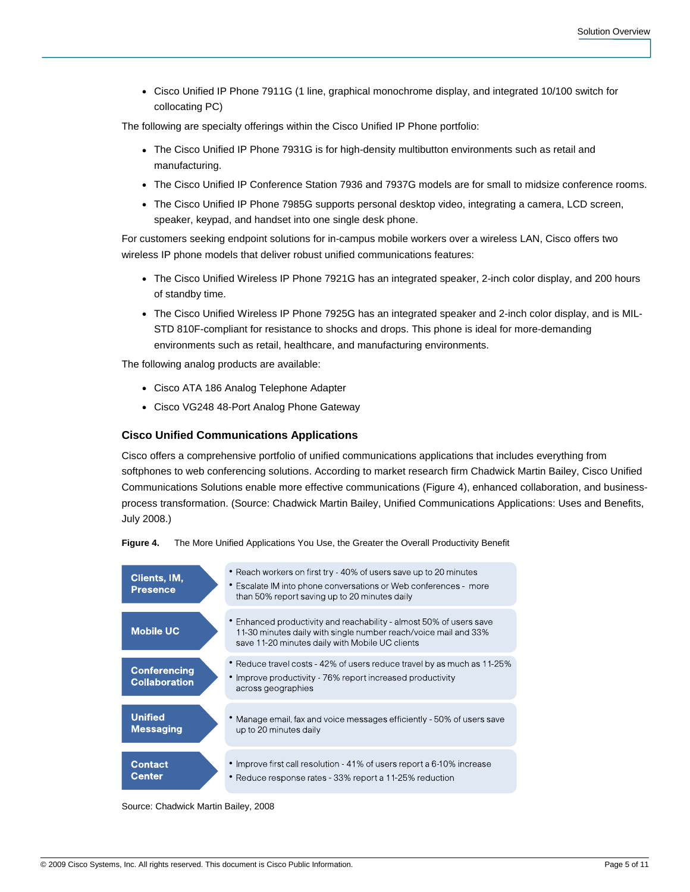● Cisco Unified IP Phone 7911G (1 line, graphical monochrome display, and integrated 10/100 switch for collocating PC)

The following are specialty offerings within the Cisco Unified IP Phone portfolio:

- The Cisco Unified IP Phone 7931G is for high-density multibutton environments such as retail and manufacturing.
- The Cisco Unified IP Conference Station 7936 and 7937G models are for small to midsize conference rooms.
- The Cisco Unified IP Phone 7985G supports personal desktop video, integrating a camera, LCD screen, speaker, keypad, and handset into one single desk phone.

For customers seeking endpoint solutions for in-campus mobile workers over a wireless LAN, Cisco offers two wireless IP phone models that deliver robust unified communications features:

- The Cisco Unified Wireless IP Phone 7921G has an integrated speaker, 2-inch color display, and 200 hours of standby time.
- The Cisco Unified Wireless IP Phone 7925G has an integrated speaker and 2-inch color display, and is MIL-STD 810F-compliant for resistance to shocks and drops. This phone is ideal for more-demanding environments such as retail, healthcare, and manufacturing environments.

The following analog products are available:

- Cisco ATA 186 Analog Telephone Adapter
- Cisco VG248 48-Port Analog Phone Gateway

#### **Cisco Unified Communications Applications**

Cisco offers a comprehensive portfolio of unified communications applications that includes everything from softphones to web conferencing solutions. According to market research firm Chadwick Martin Bailey, Cisco Unified Communications Solutions enable more effective communications (Figure 4), enhanced collaboration, and businessprocess transformation. (Source: Chadwick Martin Bailey, Unified Communications Applications: Uses and Benefits, July 2008.)





Source: Chadwick Martin Bailey, 2008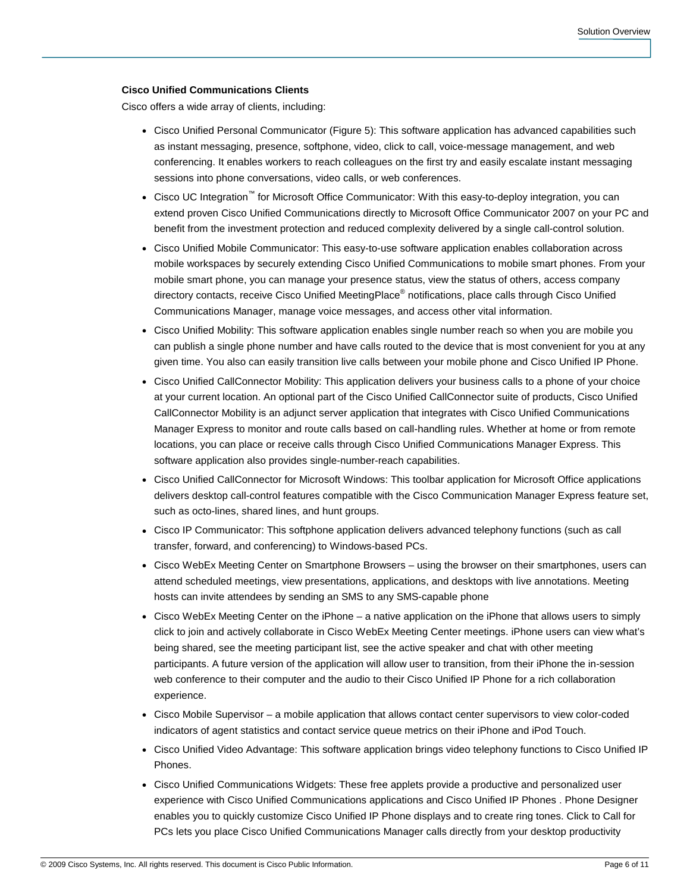## **Cisco Unified Communications Clients**

Cisco offers a wide array of clients, including:

- Cisco Unified Personal Communicator (Figure 5): This software application has advanced capabilities such as instant messaging, presence, softphone, video, click to call, voice-message management, and web conferencing. It enables workers to reach colleagues on the first try and easily escalate instant messaging sessions into phone conversations, video calls, or web conferences.
- Cisco UC Integration<sup>™</sup> for Microsoft Office Communicator: With this easy-to-deploy integration, you can extend proven Cisco Unified Communications directly to Microsoft Office Communicator 2007 on your PC and benefit from the investment protection and reduced complexity delivered by a single call-control solution.
- Cisco Unified Mobile Communicator: This easy-to-use software application enables collaboration across mobile workspaces by securely extending Cisco Unified Communications to mobile smart phones. From your mobile smart phone, you can manage your presence status, view the status of others, access company directory contacts, receive Cisco Unified MeetingPlace<sup>®</sup> notifications, place calls through Cisco Unified Communications Manager, manage voice messages, and access other vital information.
- Cisco Unified Mobility: This software application enables single number reach so when you are mobile you can publish a single phone number and have calls routed to the device that is most convenient for you at any given time. You also can easily transition live calls between your mobile phone and Cisco Unified IP Phone.
- Cisco Unified CallConnector Mobility: This application delivers your business calls to a phone of your choice at your current location. An optional part of the Cisco Unified CallConnector suite of products, Cisco Unified CallConnector Mobility is an adjunct server application that integrates with Cisco Unified Communications Manager Express to monitor and route calls based on call-handling rules. Whether at home or from remote locations, you can place or receive calls through Cisco Unified Communications Manager Express. This software application also provides single-number-reach capabilities.
- Cisco Unified CallConnector for Microsoft Windows: This toolbar application for Microsoft Office applications delivers desktop call-control features compatible with the Cisco Communication Manager Express feature set, such as octo-lines, shared lines, and hunt groups.
- Cisco IP Communicator: This softphone application delivers advanced telephony functions (such as call transfer, forward, and conferencing) to Windows-based PCs.
- Cisco WebEx Meeting Center on Smartphone Browsers using the browser on their smartphones, users can attend scheduled meetings, view presentations, applications, and desktops with live annotations. Meeting hosts can invite attendees by sending an SMS to any SMS-capable phone
- Cisco WebEx Meeting Center on the iPhone a native application on the iPhone that allows users to simply click to join and actively collaborate in Cisco WebEx Meeting Center meetings. iPhone users can view what's being shared, see the meeting participant list, see the active speaker and chat with other meeting participants. A future version of the application will allow user to transition, from their iPhone the in-session web conference to their computer and the audio to their Cisco Unified IP Phone for a rich collaboration experience.
- Cisco Mobile Supervisor a mobile application that allows contact center supervisors to view color-coded indicators of agent statistics and contact service queue metrics on their iPhone and iPod Touch.
- Cisco Unified Video Advantage: This software application brings video telephony functions to Cisco Unified IP Phones.
- Cisco Unified Communications Widgets: These free applets provide a productive and personalized user experience with Cisco Unified Communications applications and Cisco Unified IP Phones . Phone Designer enables you to quickly customize Cisco Unified IP Phone displays and to create ring tones. Click to Call for PCs lets you place Cisco Unified Communications Manager calls directly from your desktop productivity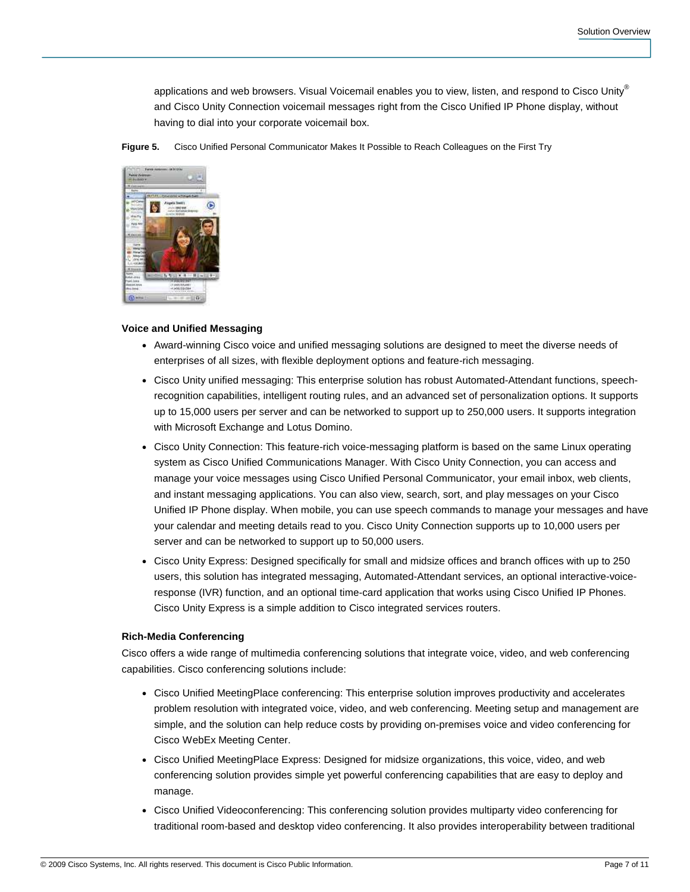applications and web browsers. Visual Voicemail enables you to view, listen, and respond to Cisco Unity® and Cisco Unity Connection voicemail messages right from the Cisco Unified IP Phone display, without having to dial into your corporate voicemail box.

**Figure 5.** Cisco Unified Personal Communicator Makes It Possible to Reach Colleagues on the First Try



## **Voice and Unified Messaging**

- Award-winning Cisco voice and unified messaging solutions are designed to meet the diverse needs of enterprises of all sizes, with flexible deployment options and feature-rich messaging.
- Cisco Unity unified messaging: This enterprise solution has robust Automated-Attendant functions, speechrecognition capabilities, intelligent routing rules, and an advanced set of personalization options. It supports up to 15,000 users per server and can be networked to support up to 250,000 users. It supports integration with Microsoft Exchange and Lotus Domino.
- Cisco Unity Connection: This feature-rich voice-messaging platform is based on the same Linux operating system as Cisco Unified Communications Manager. With Cisco Unity Connection, you can access and manage your voice messages using Cisco Unified Personal Communicator, your email inbox, web clients, and instant messaging applications. You can also view, search, sort, and play messages on your Cisco Unified IP Phone display. When mobile, you can use speech commands to manage your messages and have your calendar and meeting details read to you. Cisco Unity Connection supports up to 10,000 users per server and can be networked to support up to 50,000 users.
- Cisco Unity Express: Designed specifically for small and midsize offices and branch offices with up to 250 users, this solution has integrated messaging, Automated-Attendant services, an optional interactive-voiceresponse (IVR) function, and an optional time-card application that works using Cisco Unified IP Phones. Cisco Unity Express is a simple addition to Cisco integrated services routers.

## **Rich-Media Conferencing**

Cisco offers a wide range of multimedia conferencing solutions that integrate voice, video, and web conferencing capabilities. Cisco conferencing solutions include:

- Cisco Unified MeetingPlace conferencing: This enterprise solution improves productivity and accelerates problem resolution with integrated voice, video, and web conferencing. Meeting setup and management are simple, and the solution can help reduce costs by providing on-premises voice and video conferencing for Cisco WebEx Meeting Center.
- Cisco Unified MeetingPlace Express: Designed for midsize organizations, this voice, video, and web conferencing solution provides simple yet powerful conferencing capabilities that are easy to deploy and manage.
- Cisco Unified Videoconferencing: This conferencing solution provides multiparty video conferencing for traditional room-based and desktop video conferencing. It also provides interoperability between traditional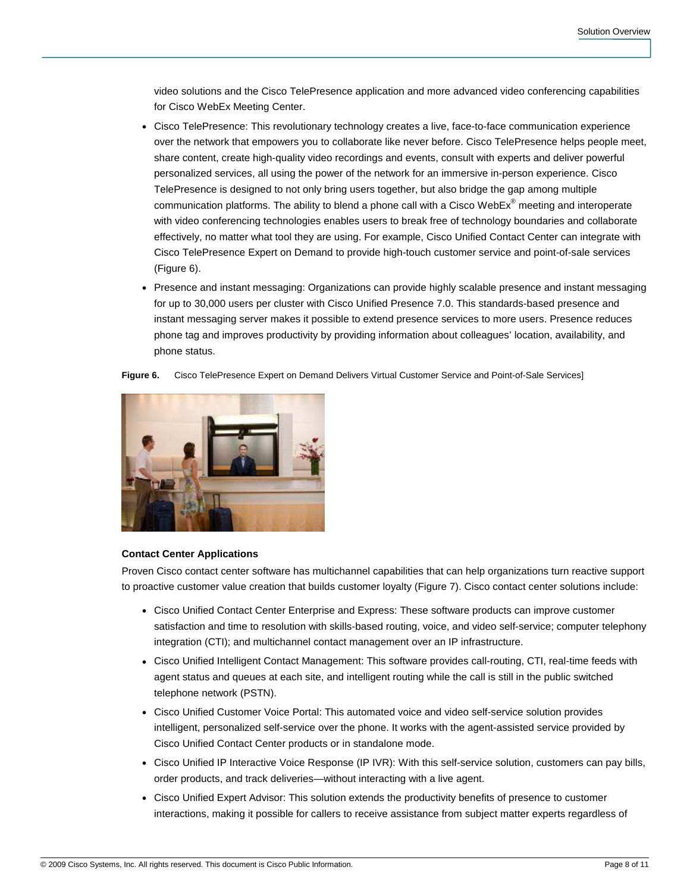video solutions and the Cisco TelePresence application and more advanced video conferencing capabilities for Cisco WebEx Meeting Center.

- Cisco TelePresence: This revolutionary technology creates a live, face-to-face communication experience over the network that empowers you to collaborate like never before. Cisco TelePresence helps people meet, share content, create high-quality video recordings and events, consult with experts and deliver powerful personalized services, all using the power of the network for an immersive in-person experience. Cisco TelePresence is designed to not only bring users together, but also bridge the gap among multiple communication platforms. The ability to blend a phone call with a Cisco WebEx® meeting and interoperate with video conferencing technologies enables users to break free of technology boundaries and collaborate effectively, no matter what tool they are using. For example, Cisco Unified Contact Center can integrate with Cisco TelePresence Expert on Demand to provide high-touch customer service and point-of-sale services (Figure 6).
- Presence and instant messaging: Organizations can provide highly scalable presence and instant messaging for up to 30,000 users per cluster with Cisco Unified Presence 7.0. This standards-based presence and instant messaging server makes it possible to extend presence services to more users. Presence reduces phone tag and improves productivity by providing information about colleagues' location, availability, and phone status.

**Figure 6.** Cisco TelePresence Expert on Demand Delivers Virtual Customer Service and Point-of-Sale Services]



#### **Contact Center Applications**

Proven Cisco contact center software has multichannel capabilities that can help organizations turn reactive support to proactive customer value creation that builds customer loyalty (Figure 7). Cisco contact center solutions include:

- Cisco Unified Contact Center Enterprise and Express: These software products can improve customer satisfaction and time to resolution with skills-based routing, voice, and video self-service; computer telephony integration (CTI); and multichannel contact management over an IP infrastructure.
- Cisco Unified Intelligent Contact Management: This software provides call-routing, CTI, real-time feeds with agent status and queues at each site, and intelligent routing while the call is still in the public switched telephone network (PSTN).
- Cisco Unified Customer Voice Portal: This automated voice and video self-service solution provides intelligent, personalized self-service over the phone. It works with the agent-assisted service provided by Cisco Unified Contact Center products or in standalone mode.
- Cisco Unified IP Interactive Voice Response (IP IVR): With this self-service solution, customers can pay bills, order products, and track deliveries—without interacting with a live agent.
- Cisco Unified Expert Advisor: This solution extends the productivity benefits of presence to customer interactions, making it possible for callers to receive assistance from subject matter experts regardless of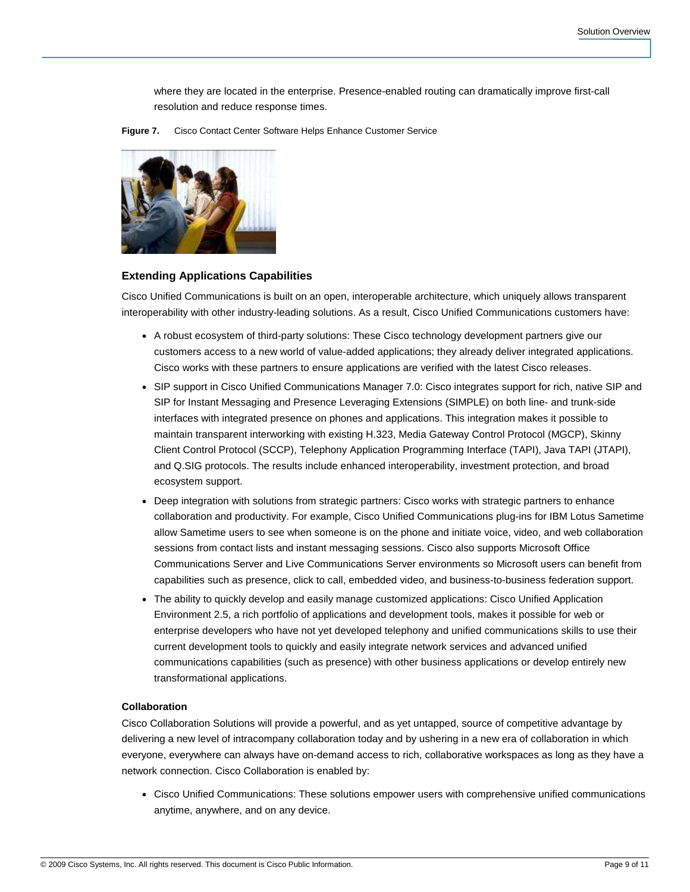where they are located in the enterprise. Presence-enabled routing can dramatically improve first-call resolution and reduce response times.





#### **Extending Applications Capabilities**

Cisco Unified Communications is built on an open, interoperable architecture, which uniquely allows transparent interoperability with other industry-leading solutions. As a result, Cisco Unified Communications customers have:

- A robust ecosystem of third-party solutions: These Cisco technology development partners give our customers access to a new world of value-added applications; they already deliver integrated applications. Cisco works with these partners to ensure applications are verified with the latest Cisco releases.
- SIP support in Cisco Unified Communications Manager 7.0: Cisco integrates support for rich, native SIP and SIP for Instant Messaging and Presence Leveraging Extensions (SIMPLE) on both line- and trunk-side interfaces with integrated presence on phones and applications. This integration makes it possible to maintain transparent interworking with existing H.323, Media Gateway Control Protocol (MGCP), Skinny Client Control Protocol (SCCP), Telephony Application Programming Interface (TAPI), Java TAPI (JTAPI), and Q.SIG protocols. The results include enhanced interoperability, investment protection, and broad ecosystem support.
- Deep integration with solutions from strategic partners: Cisco works with strategic partners to enhance collaboration and productivity. For example, Cisco Unified Communications plug-ins for IBM Lotus Sametime allow Sametime users to see when someone is on the phone and initiate voice, video, and web collaboration sessions from contact lists and instant messaging sessions. Cisco also supports Microsoft Office Communications Server and Live Communications Server environments so Microsoft users can benefit from capabilities such as presence, click to call, embedded video, and business-to-business federation support.
- The ability to quickly develop and easily manage customized applications: Cisco Unified Application Environment 2.5, a rich portfolio of applications and development tools, makes it possible for web or enterprise developers who have not yet developed telephony and unified communications skills to use their current development tools to quickly and easily integrate network services and advanced unified communications capabilities (such as presence) with other business applications or develop entirely new transformational applications.

## **Collaboration**

Cisco Collaboration Solutions will provide a powerful, and as yet untapped, source of competitive advantage by delivering a new level of intracompany collaboration today and by ushering in a new era of collaboration in which everyone, everywhere can always have on-demand access to rich, collaborative workspaces as long as they have a network connection. Cisco Collaboration is enabled by:

● Cisco Unified Communications: These solutions empower users with comprehensive unified communications anytime, anywhere, and on any device.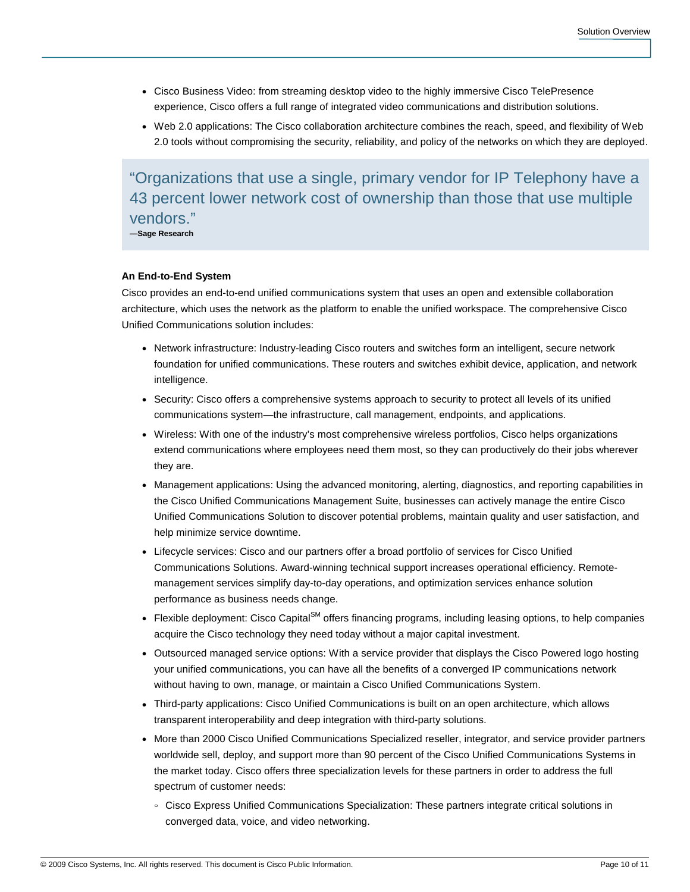- Cisco Business Video: from streaming desktop video to the highly immersive Cisco TelePresence experience, Cisco offers a full range of integrated video communications and distribution solutions.
- Web 2.0 applications: The Cisco collaboration architecture combines the reach, speed, and flexibility of Web 2.0 tools without compromising the security, reliability, and policy of the networks on which they are deployed.

"Organizations that use a single, primary vendor for IP Telephony have a 43 percent lower network cost of ownership than those that use multiple vendors."

**—Sage Research** 

## **An End-to-End System**

Cisco provides an end-to-end unified communications system that uses an open and extensible collaboration architecture, which uses the network as the platform to enable the unified workspace. The comprehensive Cisco Unified Communications solution includes:

- Network infrastructure: Industry-leading Cisco routers and switches form an intelligent, secure network foundation for unified communications. These routers and switches exhibit device, application, and network intelligence.
- Security: Cisco offers a comprehensive systems approach to security to protect all levels of its unified communications system—the infrastructure, call management, endpoints, and applications.
- Wireless: With one of the industry's most comprehensive wireless portfolios, Cisco helps organizations extend communications where employees need them most, so they can productively do their jobs wherever they are.
- Management applications: Using the advanced monitoring, alerting, diagnostics, and reporting capabilities in the Cisco Unified Communications Management Suite, businesses can actively manage the entire Cisco Unified Communications Solution to discover potential problems, maintain quality and user satisfaction, and help minimize service downtime.
- Lifecycle services: Cisco and our partners offer a broad portfolio of services for Cisco Unified Communications Solutions. Award-winning technical support increases operational efficiency. Remotemanagement services simplify day-to-day operations, and optimization services enhance solution performance as business needs change.
- Flexible deployment: Cisco Capital<sup>SM</sup> offers financing programs, including leasing options, to help companies acquire the Cisco technology they need today without a major capital investment.
- Outsourced managed service options: With a service provider that displays the Cisco Powered logo hosting your unified communications, you can have all the benefits of a converged IP communications network without having to own, manage, or maintain a Cisco Unified Communications System.
- Third-party applications: Cisco Unified Communications is built on an open architecture, which allows transparent interoperability and deep integration with third-party solutions.
- More than 2000 Cisco Unified Communications Specialized reseller, integrator, and service provider partners worldwide sell, deploy, and support more than 90 percent of the Cisco Unified Communications Systems in the market today. Cisco offers three specialization levels for these partners in order to address the full spectrum of customer needs:
	- Cisco Express Unified Communications Specialization: These partners integrate critical solutions in converged data, voice, and video networking.